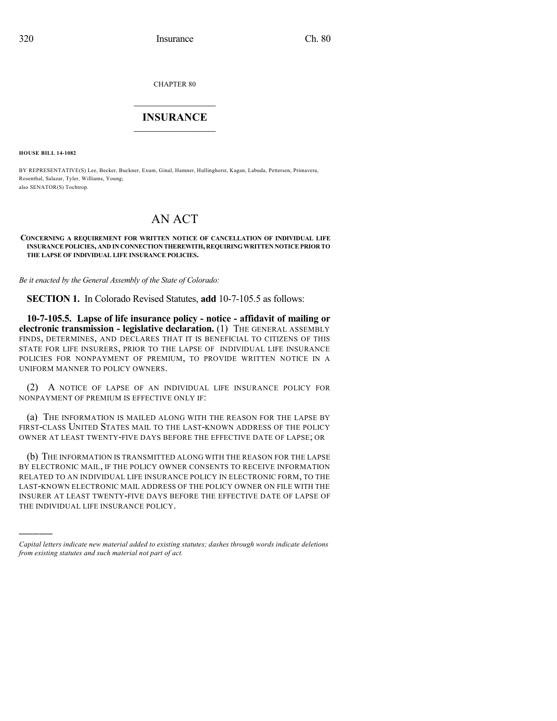CHAPTER 80

## $\mathcal{L}_\text{max}$  . The set of the set of the set of the set of the set of the set of the set of the set of the set of the set of the set of the set of the set of the set of the set of the set of the set of the set of the set **INSURANCE**  $\frac{1}{2}$  ,  $\frac{1}{2}$  ,  $\frac{1}{2}$  ,  $\frac{1}{2}$  ,  $\frac{1}{2}$  ,  $\frac{1}{2}$  ,  $\frac{1}{2}$

**HOUSE BILL 14-1082**

)))))

BY REPRESENTATIVE(S) Lee, Becker, Buckner, Exum, Ginal, Hamner, Hullinghorst, Kagan, Labuda, Pettersen, Primavera, Rosenthal, Salazar, Tyler, Williams, Young; also SENATOR(S) Tochtrop.

## AN ACT

## **CONCERNING A REQUIREMENT FOR WRITTEN NOTICE OF CANCELLATION OF INDIVIDUAL LIFE INSURANCEPOLICIES, AND IN CONNECTION THEREWITH, REQUIRINGWRITTEN NOTICEPRIOR TO THE LAPSE OF INDIVIDUAL LIFE INSURANCE POLICIES.**

*Be it enacted by the General Assembly of the State of Colorado:*

**SECTION 1.** In Colorado Revised Statutes, **add** 10-7-105.5 as follows:

**10-7-105.5. Lapse of life insurance policy - notice - affidavit of mailing or electronic transmission - legislative declaration.** (1) THE GENERAL ASSEMBLY FINDS, DETERMINES, AND DECLARES THAT IT IS BENEFICIAL TO CITIZENS OF THIS STATE FOR LIFE INSURERS, PRIOR TO THE LAPSE OF INDIVIDUAL LIFE INSURANCE POLICIES FOR NONPAYMENT OF PREMIUM, TO PROVIDE WRITTEN NOTICE IN A UNIFORM MANNER TO POLICY OWNERS.

(2) A NOTICE OF LAPSE OF AN INDIVIDUAL LIFE INSURANCE POLICY FOR NONPAYMENT OF PREMIUM IS EFFECTIVE ONLY IF:

(a) THE INFORMATION IS MAILED ALONG WITH THE REASON FOR THE LAPSE BY FIRST-CLASS UNITED STATES MAIL TO THE LAST-KNOWN ADDRESS OF THE POLICY OWNER AT LEAST TWENTY-FIVE DAYS BEFORE THE EFFECTIVE DATE OF LAPSE; OR

(b) THE INFORMATION IS TRANSMITTED ALONG WITH THE REASON FOR THE LAPSE BY ELECTRONIC MAIL, IF THE POLICY OWNER CONSENTS TO RECEIVE INFORMATION RELATED TO AN INDIVIDUAL LIFE INSURANCE POLICY IN ELECTRONIC FORM, TO THE LAST-KNOWN ELECTRONIC MAIL ADDRESS OF THE POLICY OWNER ON FILE WITH THE INSURER AT LEAST TWENTY-FIVE DAYS BEFORE THE EFFECTIVE DATE OF LAPSE OF THE INDIVIDUAL LIFE INSURANCE POLICY.

*Capital letters indicate new material added to existing statutes; dashes through words indicate deletions from existing statutes and such material not part of act.*